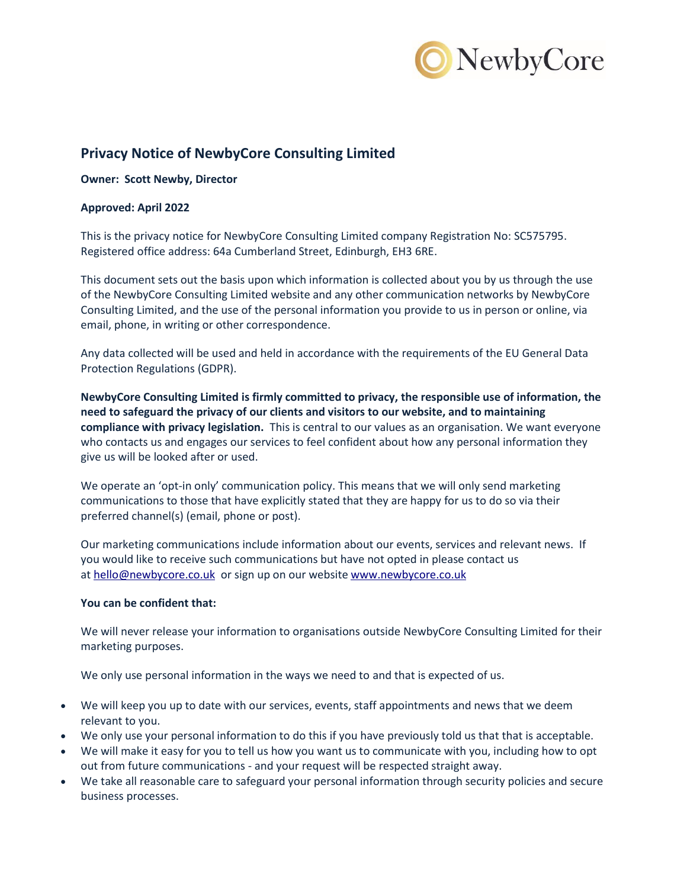

# **Privacy Notice of NewbyCore Consulting Limited**

**Owner: Scott Newby, Director**

# **Approved: April 2022**

This is the privacy notice for NewbyCore Consulting Limited company Registration No: SC575795. Registered office address: 64a Cumberland Street, Edinburgh, EH3 6RE.

This document sets out the basis upon which information is collected about you by us through the use of the NewbyCore Consulting Limited website and any other communication networks by NewbyCore Consulting Limited, and the use of the personal information you provide to us in person or online, via email, phone, in writing or other correspondence.

Any data collected will be used and held in accordance with the requirements of the EU General Data Protection Regulations (GDPR).

**NewbyCore Consulting Limited is firmly committed to privacy, the responsible use of information, the need to safeguard the privacy of our clients and visitors to our website, and to maintaining compliance with privacy legislation.** This is central to our values as an organisation. We want everyone who contacts us and engages our services to feel confident about how any personal information they give us will be looked after or used.

We operate an 'opt-in only' communication policy. This means that we will only send marketing communications to those that have explicitly stated that they are happy for us to do so via their preferred channel(s) (email, phone or post).

Our marketing communications include information about our events, services and relevant news. If you would like to receive such communications but have not opted in please contact us at [hello@newbycore.co.uk](mailto:hello@evokeaction.co.uk) or sign up on our website [www.newbycore.co.uk](http://www.evokeaction.co.uk/)

# **You can be confident that:**

We will never release your information to organisations outside NewbyCore Consulting Limited for their marketing purposes.

We only use personal information in the ways we need to and that is expected of us.

- We will keep you up to date with our services, events, staff appointments and news that we deem relevant to you.
- We only use your personal information to do this if you have previously told us that that is acceptable.
- We will make it easy for you to tell us how you want us to communicate with you, including how to opt out from future communications - and your request will be respected straight away.
- We take all reasonable care to safeguard your personal information through security policies and secure business processes.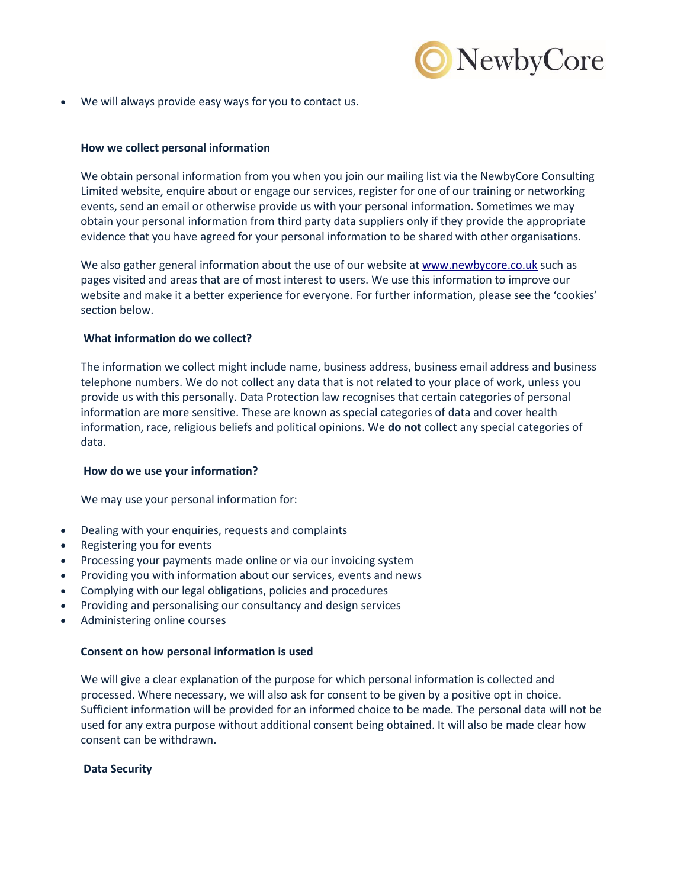

We will always provide easy ways for you to contact us.

# **How we collect personal information**

We obtain personal information from you when you join our mailing list via the NewbyCore Consulting Limited website, enquire about or engage our services, register for one of our training or networking events, send an email or otherwise provide us with your personal information. Sometimes we may obtain your personal information from third party data suppliers only if they provide the appropriate evidence that you have agreed for your personal information to be shared with other organisations.

We also gather general information about the use of our website at [www.newbycore.co.uk](http://www.evokeaction.co.uk/) such as pages visited and areas that are of most interest to users. We use this information to improve our website and make it a better experience for everyone. For further information, please see the 'cookies' section below.

# **What information do we collect?**

The information we collect might include name, business address, business email address and business telephone numbers. We do not collect any data that is not related to your place of work, unless you provide us with this personally. Data Protection law recognises that certain categories of personal information are more sensitive. These are known as special categories of data and cover health information, race, religious beliefs and political opinions. We **do not** collect any special categories of data.

# **How do we use your information?**

We may use your personal information for:

- Dealing with your enquiries, requests and complaints
- Registering you for events
- Processing your payments made online or via our invoicing system
- Providing you with information about our services, events and news
- Complying with our legal obligations, policies and procedures
- Providing and personalising our consultancy and design services
- Administering online courses

# **Consent on how personal information is used**

We will give a clear explanation of the purpose for which personal information is collected and processed. Where necessary, we will also ask for consent to be given by a positive opt in choice. Sufficient information will be provided for an informed choice to be made. The personal data will not be used for any extra purpose without additional consent being obtained. It will also be made clear how consent can be withdrawn.

# **Data Security**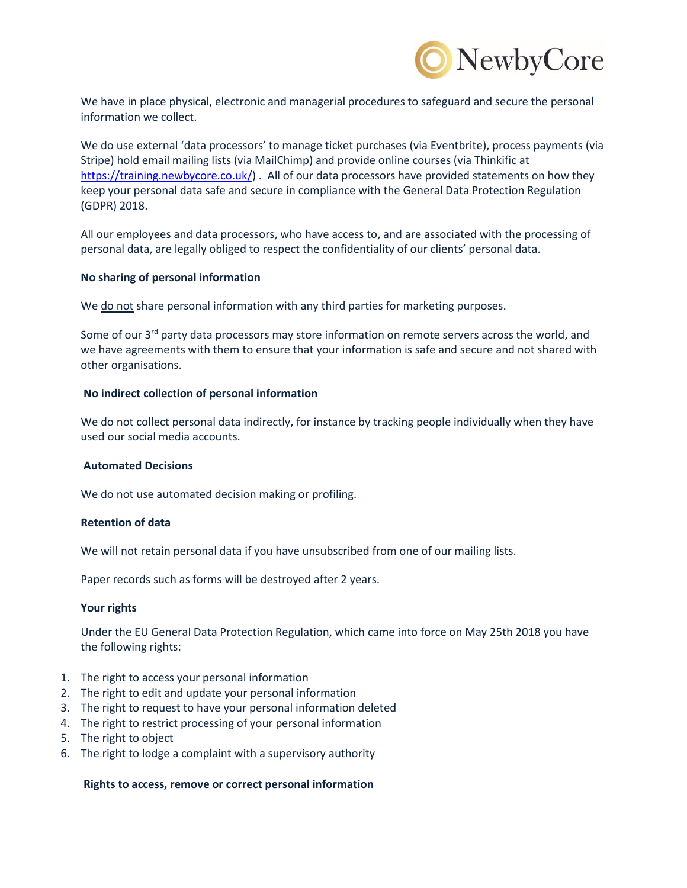

We have in place physical, electronic and managerial procedures to safeguard and secure the personal information we collect.

We do use external 'data processors' to manage ticket purchases (via Eventbrite), process payments (via Stripe) hold email mailing lists (via MailChimp) and provide online courses (via Thinkific at [https://training.newbycore.co.uk/\)](https://training.newbycore.co.uk/). All of our data processors have provided statements on how they keep your personal data safe and secure in compliance with the General Data Protection Regulation (GDPR) 2018.

All our employees and data processors, who have access to, and are associated with the processing of personal data, are legally obliged to respect the confidentiality of our clients' personal data.

## **No sharing of personal information**

We do not share personal information with any third parties for marketing purposes.

Some of our 3<sup>rd</sup> party data processors may store information on remote servers across the world, and we have agreements with them to ensure that your information is safe and secure and not shared with other organisations.

## **No indirect collection of personal information**

We do not collect personal data indirectly, for instance by tracking people individually when they have used our social media accounts.

### **Automated Decisions**

We do not use automated decision making or profiling.

## **Retention of data**

We will not retain personal data if you have unsubscribed from one of our mailing lists.

Paper records such as forms will be destroyed after 2 years.

### **Your rights**

Under the EU General Data Protection Regulation, which came into force on May 25th 2018 you have the following rights:

- 1. The right to access your personal information
- 2. The right to edit and update your personal information
- 3. The right to request to have your personal information deleted
- 4. The right to restrict processing of your personal information
- 5. The right to object
- 6. The right to lodge a complaint with a supervisory authority

### **Rights to access, remove or correct personal information**